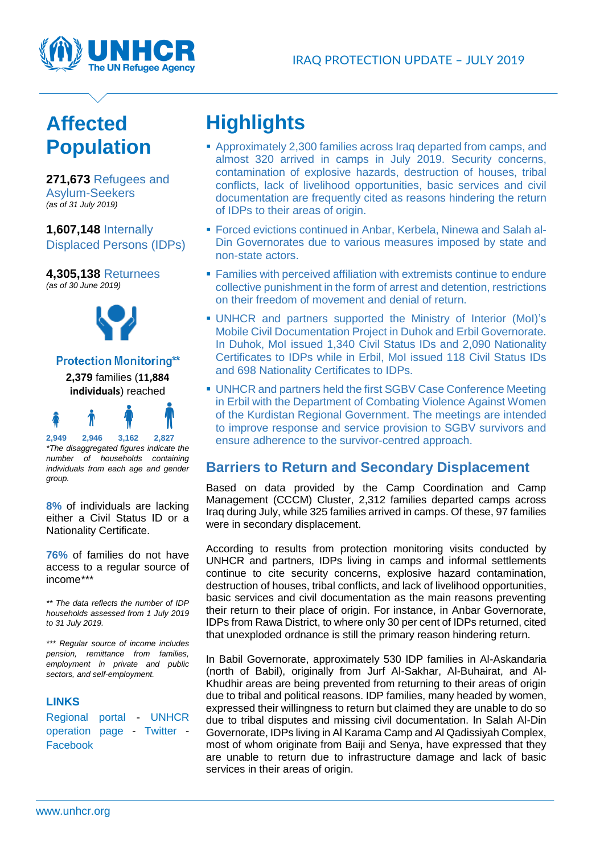

## **Affected Population**

**271,673** Refugees and Asylum-Seekers *(as of 31 July 2019)*

**1,607,148** Internally Displaced Persons (IDPs)

**4,305,138** Returnees *(as of 30 June 2019)*



#### **Protection Monitoring\*\***

**2,379** families (**11,884 individuals**) reached

# **2,949 2,946 3,162 2,827**

*\*The disaggregated figures indicate the number of households containing individuals from each age and gender group.*

**8%** of individuals are lacking either a Civil Status ID or a Nationality Certificate.

**76%** of families do not have access to a regular source of income*\*\*\**

*\*\* The data reflects the number of IDP households assessed from 1 July 2019 to 31 July 2019.* 

*\*\*\* Regular source of income includes pension, remittance from families, employment in private and public sectors, and self-employment.*

#### **LINKS**

[Regional portal](http://data2.unhcr.org/en/situations/iraq_cccm) - [UNHCR](http://reporting.unhcr.org/node/2547)  [operation page](http://reporting.unhcr.org/node/2547) - [Twitter](https://twitter.com/unhcriraq) - [Facebook](https://www.facebook.com/pg/UNHCR/posts/)

# **Highlights**

- Approximately 2,300 families across Iraq departed from camps, and almost 320 arrived in camps in July 2019. Security concerns, contamination of explosive hazards, destruction of houses, tribal conflicts, lack of livelihood opportunities, basic services and civil documentation are frequently cited as reasons hindering the return of IDPs to their areas of origin.
- **Forced evictions continued in Anbar, Kerbela, Ninewa and Salah al-**Din Governorates due to various measures imposed by state and non-state actors.
- **EXECUTE:** Families with perceived affiliation with extremists continue to endure collective punishment in the form of arrest and detention, restrictions on their freedom of movement and denial of return.
- UNHCR and partners supported the Ministry of Interior (MoI)'s Mobile Civil Documentation Project in Duhok and Erbil Governorate. In Duhok, MoI issued 1,340 Civil Status IDs and 2,090 Nationality Certificates to IDPs while in Erbil, MoI issued 118 Civil Status IDs and 698 Nationality Certificates to IDPs.
- UNHCR and partners held the first SGBV Case Conference Meeting in Erbil with the Department of Combating Violence Against Women of the Kurdistan Regional Government. The meetings are intended to improve response and service provision to SGBV survivors and ensure adherence to the survivor-centred approach.

#### **Barriers to Return and Secondary Displacement**

Based on data provided by the Camp Coordination and Camp Management (CCCM) Cluster, 2,312 families departed camps across Iraq during July, while 325 families arrived in camps. Of these, 97 families were in secondary displacement.

According to results from protection monitoring visits conducted by UNHCR and partners, IDPs living in camps and informal settlements continue to cite security concerns, explosive hazard contamination, destruction of houses, tribal conflicts, and lack of livelihood opportunities, basic services and civil documentation as the main reasons preventing their return to their place of origin. For instance, in Anbar Governorate, IDPs from Rawa District, to where only 30 per cent of IDPs returned, cited that unexploded ordnance is still the primary reason hindering return.

In Babil Governorate, approximately 530 IDP families in Al-Askandaria (north of Babil), originally from Jurf Al-Sakhar, Al-Buhairat, and Al-Khudhir areas are being prevented from returning to their areas of origin due to tribal and political reasons. IDP families, many headed by women, expressed their willingness to return but claimed they are unable to do so due to tribal disputes and missing civil documentation. In Salah Al-Din Governorate, IDPs living in Al Karama Camp and Al Qadissiyah Complex, most of whom originate from Baiji and Senya, have expressed that they are unable to return due to infrastructure damage and lack of basic services in their areas of origin.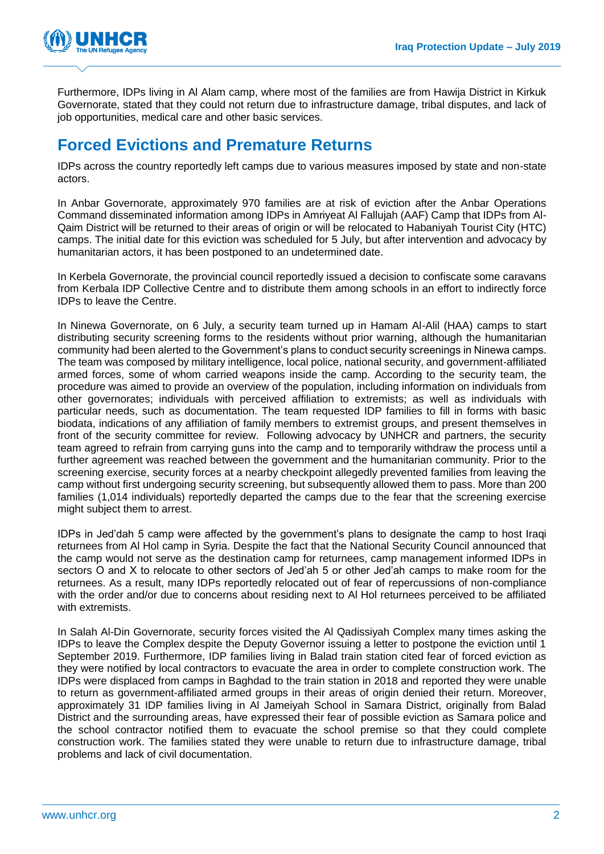

Furthermore, IDPs living in Al Alam camp, where most of the families are from Hawija District in Kirkuk Governorate, stated that they could not return due to infrastructure damage, tribal disputes, and lack of job opportunities, medical care and other basic services.

#### **Forced Evictions and Premature Returns**

IDPs across the country reportedly left camps due to various measures imposed by state and non-state actors.

In Anbar Governorate, approximately 970 families are at risk of eviction after the Anbar Operations Command disseminated information among IDPs in Amriyeat Al Fallujah (AAF) Camp that IDPs from Al-Qaim District will be returned to their areas of origin or will be relocated to Habaniyah Tourist City (HTC) camps. The initial date for this eviction was scheduled for 5 July, but after intervention and advocacy by humanitarian actors, it has been postponed to an undetermined date.

In Kerbela Governorate, the provincial council reportedly issued a decision to confiscate some caravans from Kerbala IDP Collective Centre and to distribute them among schools in an effort to indirectly force IDPs to leave the Centre.

In Ninewa Governorate, on 6 July, a security team turned up in Hamam Al-Alil (HAA) camps to start distributing security screening forms to the residents without prior warning, although the humanitarian community had been alerted to the Government's plans to conduct security screenings in Ninewa camps. The team was composed by military intelligence, local police, national security, and government-affiliated armed forces, some of whom carried weapons inside the camp. According to the security team, the procedure was aimed to provide an overview of the population, including information on individuals from other governorates; individuals with perceived affiliation to extremists; as well as individuals with particular needs, such as documentation. The team requested IDP families to fill in forms with basic biodata, indications of any affiliation of family members to extremist groups, and present themselves in front of the security committee for review. Following advocacy by UNHCR and partners, the security team agreed to refrain from carrying guns into the camp and to temporarily withdraw the process until a further agreement was reached between the government and the humanitarian community. Prior to the screening exercise, security forces at a nearby checkpoint allegedly prevented families from leaving the camp without first undergoing security screening, but subsequently allowed them to pass. More than 200 families (1,014 individuals) reportedly departed the camps due to the fear that the screening exercise might subject them to arrest.

IDPs in Jed'dah 5 camp were affected by the government's plans to designate the camp to host Iraqi returnees from Al Hol camp in Syria. Despite the fact that the National Security Council announced that the camp would not serve as the destination camp for returnees, camp management informed IDPs in sectors O and X to relocate to other sectors of Jed'ah 5 or other Jed'ah camps to make room for the returnees. As a result, many IDPs reportedly relocated out of fear of repercussions of non-compliance with the order and/or due to concerns about residing next to Al Hol returnees perceived to be affiliated with extremists.

In Salah Al-Din Governorate, security forces visited the Al Qadissiyah Complex many times asking the IDPs to leave the Complex despite the Deputy Governor issuing a letter to postpone the eviction until 1 September 2019. Furthermore, IDP families living in Balad train station cited fear of forced eviction as they were notified by local contractors to evacuate the area in order to complete construction work. The IDPs were displaced from camps in Baghdad to the train station in 2018 and reported they were unable to return as government-affiliated armed groups in their areas of origin denied their return. Moreover, approximately 31 IDP families living in Al Jameiyah School in Samara District, originally from Balad District and the surrounding areas, have expressed their fear of possible eviction as Samara police and the school contractor notified them to evacuate the school premise so that they could complete construction work. The families stated they were unable to return due to infrastructure damage, tribal problems and lack of civil documentation.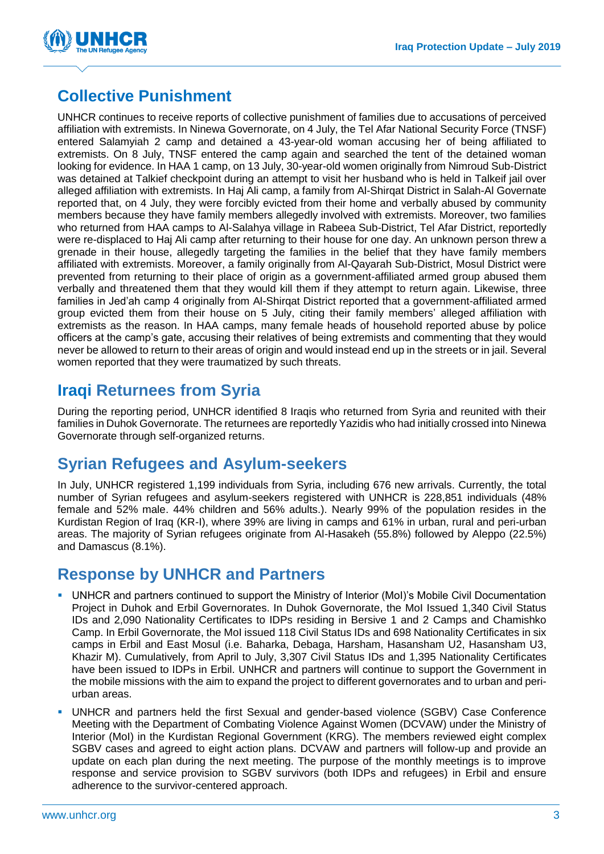

## **Collective Punishment**

UNHCR continues to receive reports of collective punishment of families due to accusations of perceived affiliation with extremists. In Ninewa Governorate, on 4 July, the Tel Afar National Security Force (TNSF) entered Salamyiah 2 camp and detained a 43-year-old woman accusing her of being affiliated to extremists. On 8 July, TNSF entered the camp again and searched the tent of the detained woman looking for evidence. In HAA 1 camp, on 13 July, 30-year-old women originally from Nimroud Sub-District was detained at Talkief checkpoint during an attempt to visit her husband who is held in Talkeif jail over alleged affiliation with extremists. In Haj Ali camp, a family from Al-Shirqat District in Salah-Al Governate reported that, on 4 July, they were forcibly evicted from their home and verbally abused by community members because they have family members allegedly involved with extremists. Moreover, two families who returned from HAA camps to Al-Salahya village in Rabeea Sub-District, Tel Afar District, reportedly were re-displaced to Haj Ali camp after returning to their house for one day. An unknown person threw a grenade in their house, allegedly targeting the families in the belief that they have family members affiliated with extremists. Moreover, a family originally from Al-Qayarah Sub-District, Mosul District were prevented from returning to their place of origin as a government-affiliated armed group abused them verbally and threatened them that they would kill them if they attempt to return again. Likewise, three families in Jed'ah camp 4 originally from Al-Shirqat District reported that a government-affiliated armed group evicted them from their house on 5 July, citing their family members' alleged affiliation with extremists as the reason. In HAA camps, many female heads of household reported abuse by police officers at the camp's gate, accusing their relatives of being extremists and commenting that they would never be allowed to return to their areas of origin and would instead end up in the streets or in jail. Several women reported that they were traumatized by such threats.

### **Iraqi Returnees from Syria**

During the reporting period, UNHCR identified 8 Iraqis who returned from Syria and reunited with their families in Duhok Governorate. The returnees are reportedly Yazidis who had initially crossed into Ninewa Governorate through self-organized returns.

### **Syrian Refugees and Asylum-seekers**

In July, UNHCR registered 1,199 individuals from Syria, including 676 new arrivals. Currently, the total number of Syrian refugees and asylum-seekers registered with UNHCR is 228,851 individuals (48% female and 52% male. 44% children and 56% adults.). Nearly 99% of the population resides in the Kurdistan Region of Iraq (KR-I), where 39% are living in camps and 61% in urban, rural and peri-urban areas. The majority of Syrian refugees originate from Al-Hasakeh (55.8%) followed by Aleppo (22.5%) and Damascus (8.1%).

#### **Response by UNHCR and Partners**

- **UNHCR and partners continued to support the Ministry of Interior (MoI)'s Mobile Civil Documentation** Project in Duhok and Erbil Governorates. In Duhok Governorate, the MoI Issued 1,340 Civil Status IDs and 2,090 Nationality Certificates to IDPs residing in Bersive 1 and 2 Camps and Chamishko Camp. In Erbil Governorate, the MoI issued 118 Civil Status IDs and 698 Nationality Certificates in six camps in Erbil and East Mosul (i.e. Baharka, Debaga, Harsham, Hasansham U2, Hasansham U3, Khazir M). Cumulatively, from April to July, 3,307 Civil Status IDs and 1,395 Nationality Certificates have been issued to IDPs in Erbil. UNHCR and partners will continue to support the Government in the mobile missions with the aim to expand the project to different governorates and to urban and periurban areas.
- UNHCR and partners held the first Sexual and gender-based violence (SGBV) Case Conference Meeting with the Department of Combating Violence Against Women (DCVAW) under the Ministry of Interior (MoI) in the Kurdistan Regional Government (KRG). The members reviewed eight complex SGBV cases and agreed to eight action plans. DCVAW and partners will follow-up and provide an update on each plan during the next meeting. The purpose of the monthly meetings is to improve response and service provision to SGBV survivors (both IDPs and refugees) in Erbil and ensure adherence to the survivor-centered approach.